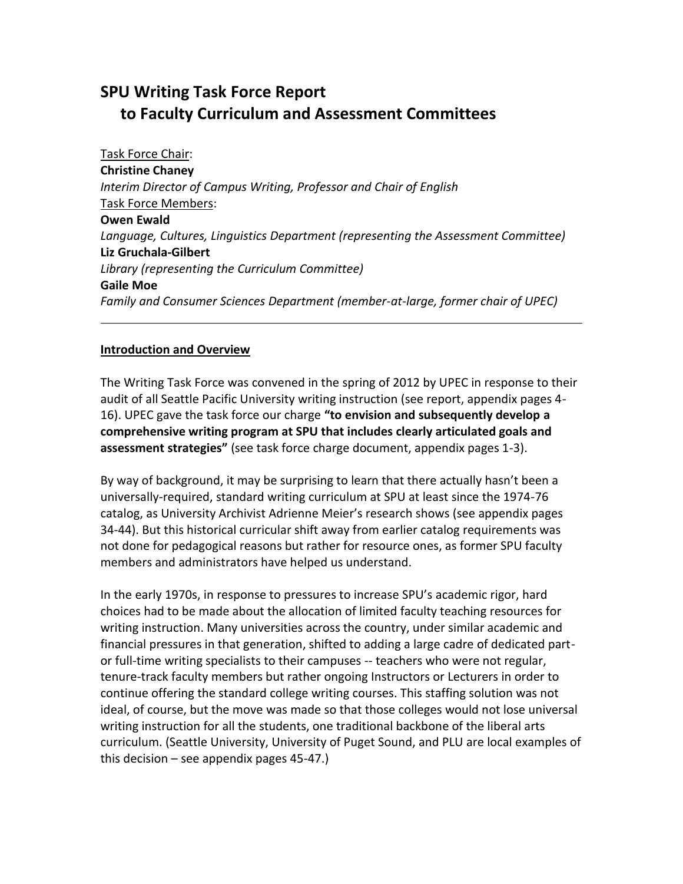# **SPU Writing Task Force Report to Faculty Curriculum and Assessment Committees**

Task Force Chair: **Christine Chaney** *Interim Director of Campus Writing, Professor and Chair of English* Task Force Members: **Owen Ewald** *Language, Cultures, Linguistics Department (representing the Assessment Committee)* **Liz Gruchala-Gilbert** *Library (representing the Curriculum Committee)* **Gaile Moe** *Family and Consumer Sciences Department (member-at-large, former chair of UPEC)*

#### **Introduction and Overview**

The Writing Task Force was convened in the spring of 2012 by UPEC in response to their audit of all Seattle Pacific University writing instruction (see report, appendix pages 4- 16). UPEC gave the task force our charge **"to envision and subsequently develop a comprehensive writing program at SPU that includes clearly articulated goals and assessment strategies"** (see task force charge document, appendix pages 1-3).

By way of background, it may be surprising to learn that there actually hasn't been a universally-required, standard writing curriculum at SPU at least since the 1974-76 catalog, as University Archivist Adrienne Meier's research shows (see appendix pages 34-44). But this historical curricular shift away from earlier catalog requirements was not done for pedagogical reasons but rather for resource ones, as former SPU faculty members and administrators have helped us understand.

In the early 1970s, in response to pressures to increase SPU's academic rigor, hard choices had to be made about the allocation of limited faculty teaching resources for writing instruction. Many universities across the country, under similar academic and financial pressures in that generation, shifted to adding a large cadre of dedicated partor full-time writing specialists to their campuses -- teachers who were not regular, tenure-track faculty members but rather ongoing Instructors or Lecturers in order to continue offering the standard college writing courses. This staffing solution was not ideal, of course, but the move was made so that those colleges would not lose universal writing instruction for all the students, one traditional backbone of the liberal arts curriculum. (Seattle University, University of Puget Sound, and PLU are local examples of this decision – see appendix pages 45-47.)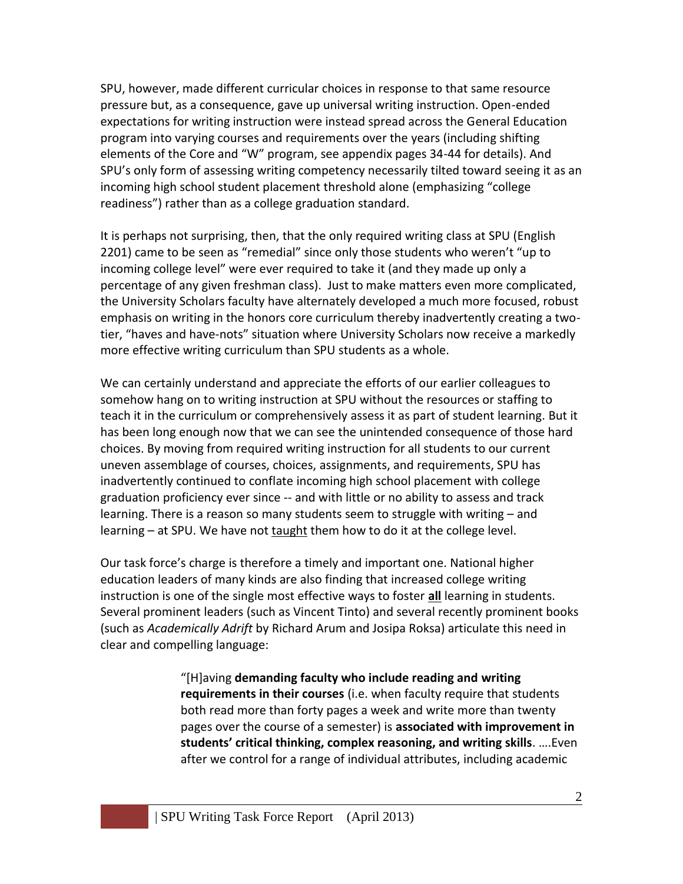SPU, however, made different curricular choices in response to that same resource pressure but, as a consequence, gave up universal writing instruction. Open-ended expectations for writing instruction were instead spread across the General Education program into varying courses and requirements over the years (including shifting elements of the Core and "W" program, see appendix pages 34-44 for details). And SPU's only form of assessing writing competency necessarily tilted toward seeing it as an incoming high school student placement threshold alone (emphasizing "college readiness") rather than as a college graduation standard.

It is perhaps not surprising, then, that the only required writing class at SPU (English 2201) came to be seen as "remedial" since only those students who weren't "up to incoming college level" were ever required to take it (and they made up only a percentage of any given freshman class). Just to make matters even more complicated, the University Scholars faculty have alternately developed a much more focused, robust emphasis on writing in the honors core curriculum thereby inadvertently creating a twotier, "haves and have-nots" situation where University Scholars now receive a markedly more effective writing curriculum than SPU students as a whole.

We can certainly understand and appreciate the efforts of our earlier colleagues to somehow hang on to writing instruction at SPU without the resources or staffing to teach it in the curriculum or comprehensively assess it as part of student learning. But it has been long enough now that we can see the unintended consequence of those hard choices. By moving from required writing instruction for all students to our current uneven assemblage of courses, choices, assignments, and requirements, SPU has inadvertently continued to conflate incoming high school placement with college graduation proficiency ever since -- and with little or no ability to assess and track learning. There is a reason so many students seem to struggle with writing – and learning – at SPU. We have not taught them how to do it at the college level.

Our task force's charge is therefore a timely and important one. National higher education leaders of many kinds are also finding that increased college writing instruction is one of the single most effective ways to foster **all** learning in students. Several prominent leaders (such as Vincent Tinto) and several recently prominent books (such as *Academically Adrift* by Richard Arum and Josipa Roksa) articulate this need in clear and compelling language:

> "[H]aving **demanding faculty who include reading and writing requirements in their courses** (i.e. when faculty require that students both read more than forty pages a week and write more than twenty pages over the course of a semester) is **associated with improvement in students' critical thinking, complex reasoning, and writing skills**. ….Even after we control for a range of individual attributes, including academic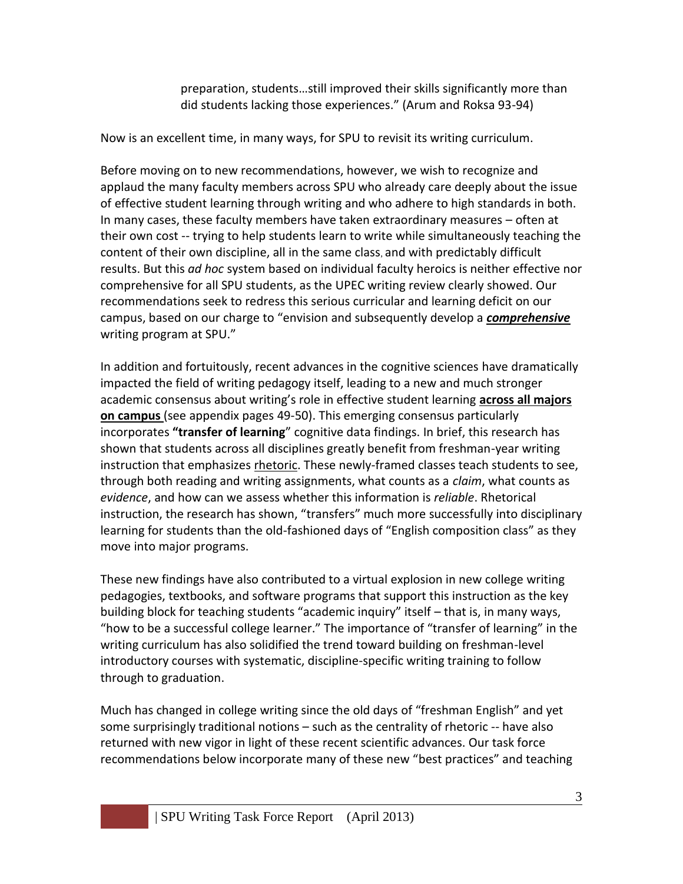preparation, students…still improved their skills significantly more than did students lacking those experiences." (Arum and Roksa 93-94)

Now is an excellent time, in many ways, for SPU to revisit its writing curriculum.

Before moving on to new recommendations, however, we wish to recognize and applaud the many faculty members across SPU who already care deeply about the issue of effective student learning through writing and who adhere to high standards in both. In many cases, these faculty members have taken extraordinary measures – often at their own cost -- trying to help students learn to write while simultaneously teaching the content of their own discipline, all in the same class, and with predictably difficult results. But this *ad hoc* system based on individual faculty heroics is neither effective nor comprehensive for all SPU students, as the UPEC writing review clearly showed. Our recommendations seek to redress this serious curricular and learning deficit on our campus, based on our charge to "envision and subsequently develop a *comprehensive* writing program at SPU."

In addition and fortuitously, recent advances in the cognitive sciences have dramatically impacted the field of writing pedagogy itself, leading to a new and much stronger academic consensus about writing's role in effective student learning **across all majors on campus** (see appendix pages 49-50). This emerging consensus particularly incorporates **"transfer of learning**" cognitive data findings. In brief, this research has shown that students across all disciplines greatly benefit from freshman-year writing instruction that emphasizes rhetoric. These newly-framed classes teach students to see, through both reading and writing assignments, what counts as a *claim*, what counts as *evidence*, and how can we assess whether this information is *reliable*. Rhetorical instruction, the research has shown, "transfers" much more successfully into disciplinary learning for students than the old-fashioned days of "English composition class" as they move into major programs.

These new findings have also contributed to a virtual explosion in new college writing pedagogies, textbooks, and software programs that support this instruction as the key building block for teaching students "academic inquiry" itself – that is, in many ways, "how to be a successful college learner." The importance of "transfer of learning" in the writing curriculum has also solidified the trend toward building on freshman-level introductory courses with systematic, discipline-specific writing training to follow through to graduation.

Much has changed in college writing since the old days of "freshman English" and yet some surprisingly traditional notions – such as the centrality of rhetoric -- have also returned with new vigor in light of these recent scientific advances. Our task force recommendations below incorporate many of these new "best practices" and teaching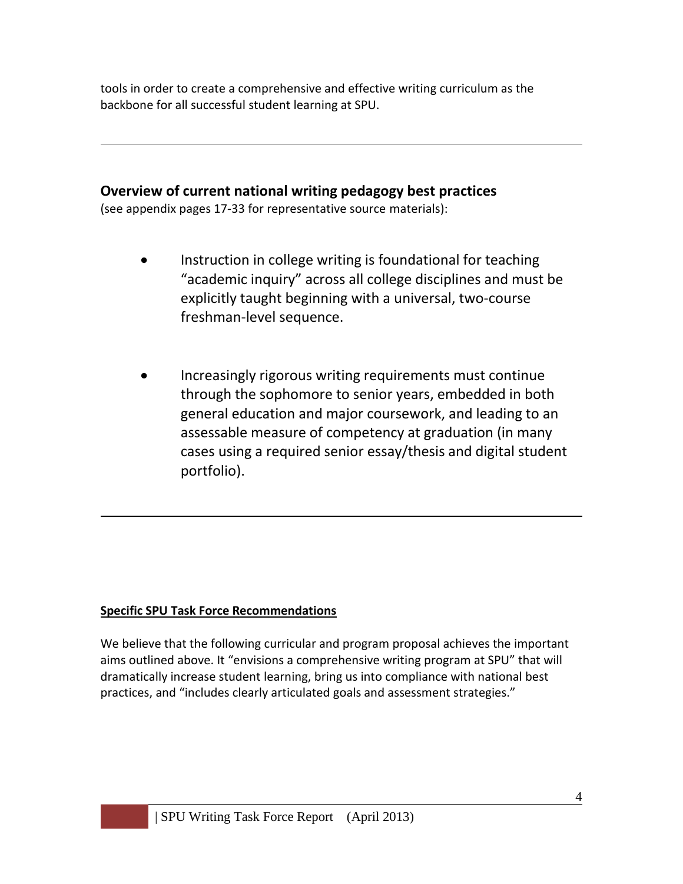tools in order to create a comprehensive and effective writing curriculum as the backbone for all successful student learning at SPU.

## **Overview of current national writing pedagogy best practices**

(see appendix pages 17-33 for representative source materials):

- Instruction in college writing is foundational for teaching "academic inquiry" across all college disciplines and must be explicitly taught beginning with a universal, two-course freshman-level sequence.
- Increasingly rigorous writing requirements must continue through the sophomore to senior years, embedded in both general education and major coursework, and leading to an assessable measure of competency at graduation (in many cases using a required senior essay/thesis and digital student portfolio).

## **Specific SPU Task Force Recommendations**

We believe that the following curricular and program proposal achieves the important aims outlined above. It "envisions a comprehensive writing program at SPU" that will dramatically increase student learning, bring us into compliance with national best practices, and "includes clearly articulated goals and assessment strategies."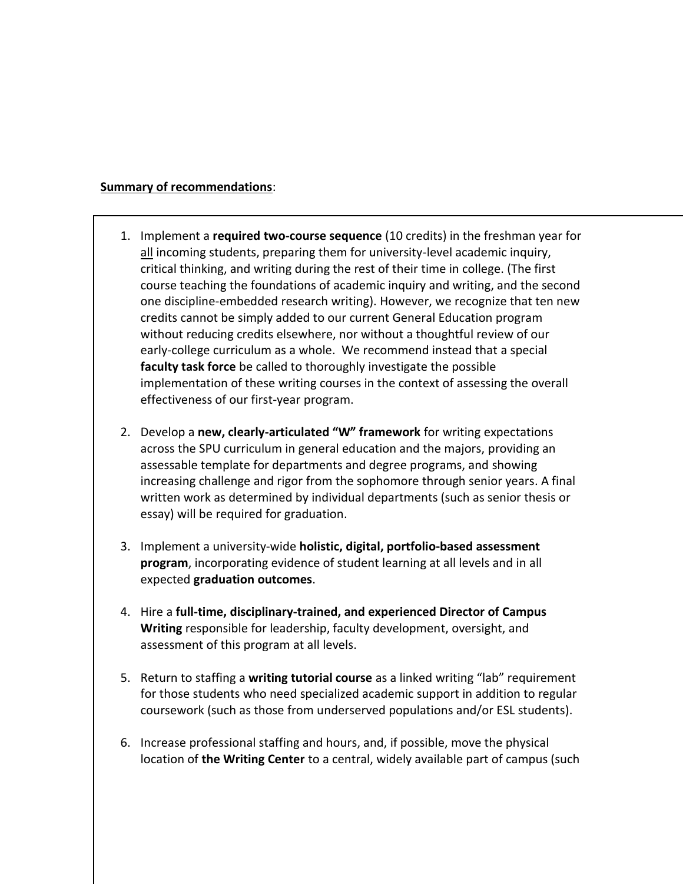#### **Summary of recommendations**:

- 1. Implement a **required two-course sequence** (10 credits) in the freshman year for all incoming students, preparing them for university-level academic inquiry, critical thinking, and writing during the rest of their time in college. (The first course teaching the foundations of academic inquiry and writing, and the second one discipline-embedded research writing). However, we recognize that ten new credits cannot be simply added to our current General Education program without reducing credits elsewhere, nor without a thoughtful review of our early-college curriculum as a whole. We recommend instead that a special **faculty task force** be called to thoroughly investigate the possible implementation of these writing courses in the context of assessing the overall effectiveness of our first-year program.
- 2. Develop a **new, clearly-articulated "W" framework** for writing expectations across the SPU curriculum in general education and the majors, providing an assessable template for departments and degree programs, and showing increasing challenge and rigor from the sophomore through senior years. A final written work as determined by individual departments (such as senior thesis or essay) will be required for graduation.
- 3. Implement a university-wide **holistic, digital, portfolio-based assessment program**, incorporating evidence of student learning at all levels and in all expected **graduation outcomes**.
- 4. Hire a **full-time, disciplinary-trained, and experienced Director of Campus Writing** responsible for leadership, faculty development, oversight, and assessment of this program at all levels.
- 5. Return to staffing a **writing tutorial course** as a linked writing "lab" requirement for those students who need specialized academic support in addition to regular coursework (such as those from underserved populations and/or ESL students).
- 6. Increase professional staffing and hours, and, if possible, move the physical location of **the Writing Center** to a central, widely available part of campus (such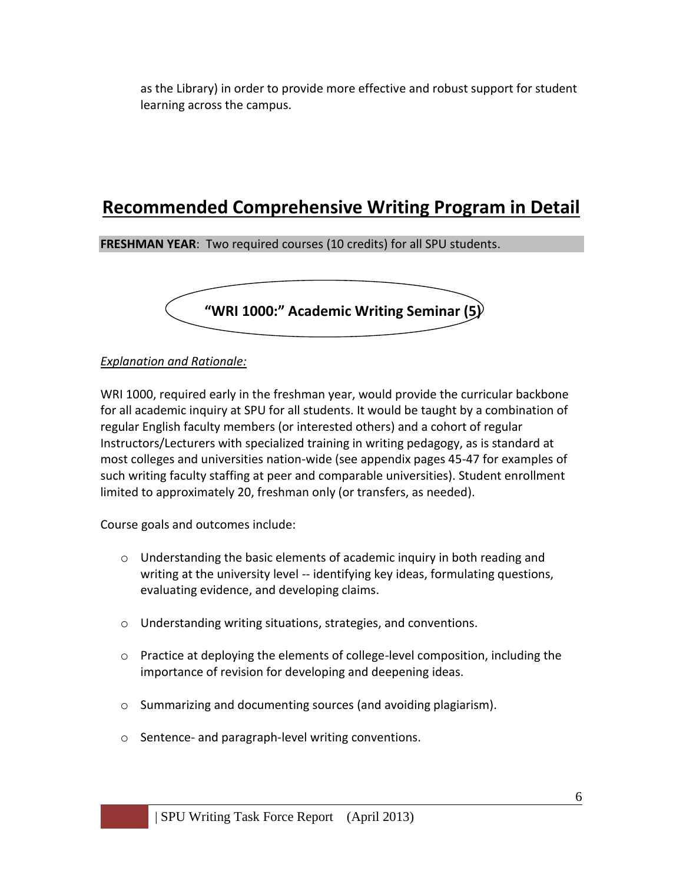as the Library) in order to provide more effective and robust support for student learning across the campus.

# **Recommended Comprehensive Writing Program in Detail**

**FRESHMAN YEAR**: Two required courses (10 credits) for all SPU students.



#### *Explanation and Rationale:*

WRI 1000, required early in the freshman year, would provide the curricular backbone for all academic inquiry at SPU for all students. It would be taught by a combination of regular English faculty members (or interested others) and a cohort of regular Instructors/Lecturers with specialized training in writing pedagogy, as is standard at most colleges and universities nation-wide (see appendix pages 45-47 for examples of such writing faculty staffing at peer and comparable universities). Student enrollment limited to approximately 20, freshman only (or transfers, as needed).

Course goals and outcomes include:

- $\circ$  Understanding the basic elements of academic inquiry in both reading and writing at the university level -- identifying key ideas, formulating questions, evaluating evidence, and developing claims.
- o Understanding writing situations, strategies, and conventions.
- $\circ$  Practice at deploying the elements of college-level composition, including the importance of revision for developing and deepening ideas.
- o Summarizing and documenting sources (and avoiding plagiarism).
- o Sentence- and paragraph-level writing conventions.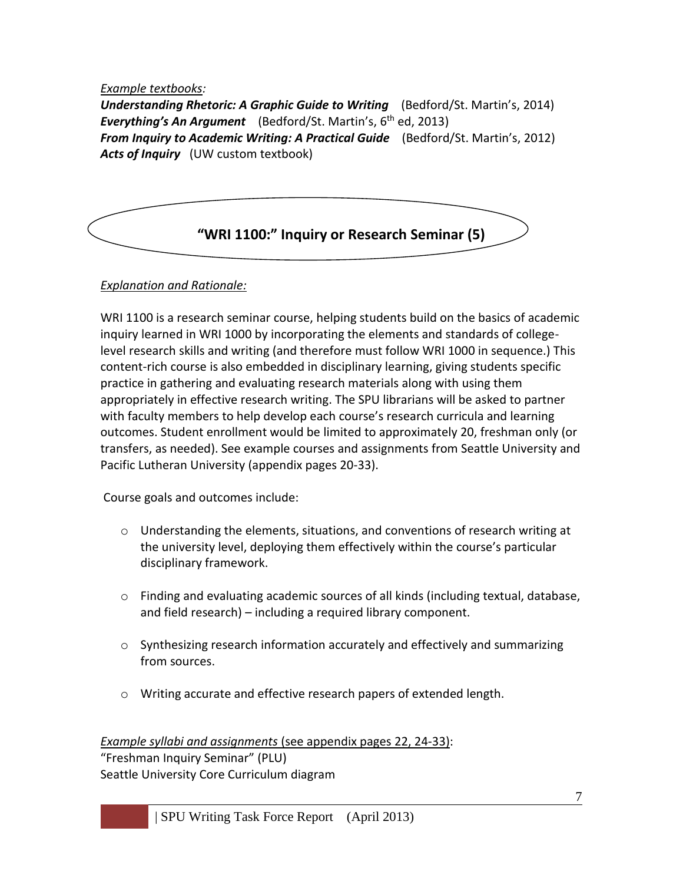#### *Example textbooks:*

*Understanding Rhetoric: A Graphic Guide to Writing* (Bedford/St. Martin's, 2014) *Everything's An Argument* (Bedford/St. Martin's, 6 th ed, 2013) *From Inquiry to Academic Writing: A Practical Guide* (Bedford/St. Martin's, 2012) *Acts of Inquiry* (UW custom textbook)



#### *Explanation and Rationale:*

WRI 1100 is a research seminar course, helping students build on the basics of academic inquiry learned in WRI 1000 by incorporating the elements and standards of collegelevel research skills and writing (and therefore must follow WRI 1000 in sequence.) This content-rich course is also embedded in disciplinary learning, giving students specific practice in gathering and evaluating research materials along with using them appropriately in effective research writing. The SPU librarians will be asked to partner with faculty members to help develop each course's research curricula and learning outcomes. Student enrollment would be limited to approximately 20, freshman only (or transfers, as needed). See example courses and assignments from Seattle University and Pacific Lutheran University (appendix pages 20-33).

Course goals and outcomes include:

- $\circ$  Understanding the elements, situations, and conventions of research writing at the university level, deploying them effectively within the course's particular disciplinary framework.
- $\circ$  Finding and evaluating academic sources of all kinds (including textual, database, and field research) – including a required library component.
- $\circ$  Synthesizing research information accurately and effectively and summarizing from sources.
- o Writing accurate and effective research papers of extended length.

#### *Example syllabi and assignments* (see appendix pages 22, 24-33): "Freshman Inquiry Seminar" (PLU) Seattle University Core Curriculum diagram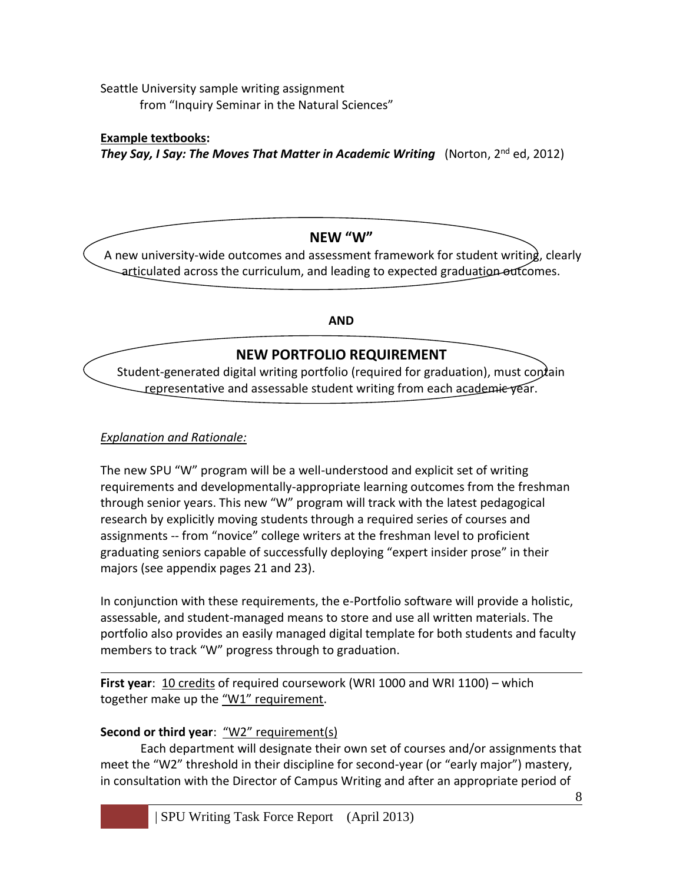Seattle University sample writing assignment from "Inquiry Seminar in the Natural Sciences"

**Example textbooks:**  *They Say, I Say: The Moves That Matter in Academic Writing*(Norton, 2nd ed, 2012)

## **NEW "W"**

A new university-wide outcomes and assessment framework for student writing, clearly articulated across the curriculum, and leading to expected graduation outcomes.

**AND**

## **NEW PORTFOLIO REQUIREMENT**

Student-generated digital writing portfolio (required for graduation), must contain representative and assessable student writing from each academie vear.

## *Explanation and Rationale:*

The new SPU "W" program will be a well-understood and explicit set of writing requirements and developmentally-appropriate learning outcomes from the freshman through senior years. This new "W" program will track with the latest pedagogical research by explicitly moving students through a required series of courses and assignments -- from "novice" college writers at the freshman level to proficient graduating seniors capable of successfully deploying "expert insider prose" in their majors (see appendix pages 21 and 23).

In conjunction with these requirements, the e-Portfolio software will provide a holistic, assessable, and student-managed means to store and use all written materials. The portfolio also provides an easily managed digital template for both students and faculty members to track "W" progress through to graduation.

**First year**: 10 credits of required coursework (WRI 1000 and WRI 1100) – which together make up the "W1" requirement.

## **Second or third year**: "W2" requirement(s)

Each department will designate their own set of courses and/or assignments that meet the "W2" threshold in their discipline for second-year (or "early major") mastery, in consultation with the Director of Campus Writing and after an appropriate period of

8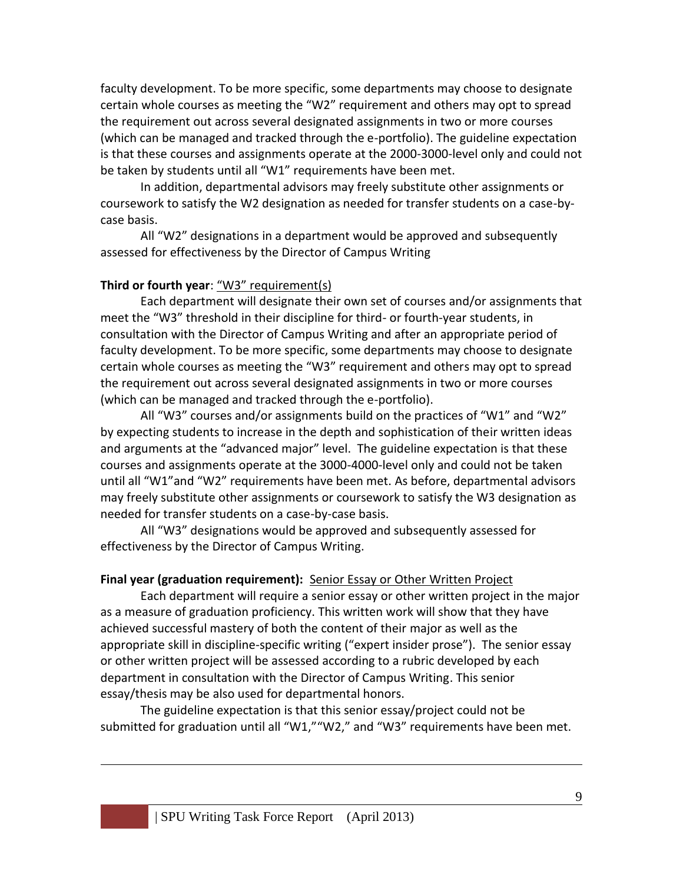faculty development. To be more specific, some departments may choose to designate certain whole courses as meeting the "W2" requirement and others may opt to spread the requirement out across several designated assignments in two or more courses (which can be managed and tracked through the e-portfolio). The guideline expectation is that these courses and assignments operate at the 2000-3000-level only and could not be taken by students until all "W1" requirements have been met.

In addition, departmental advisors may freely substitute other assignments or coursework to satisfy the W2 designation as needed for transfer students on a case-bycase basis.

All "W2" designations in a department would be approved and subsequently assessed for effectiveness by the Director of Campus Writing

#### **Third or fourth year**: "W3" requirement(s)

Each department will designate their own set of courses and/or assignments that meet the "W3" threshold in their discipline for third- or fourth-year students, in consultation with the Director of Campus Writing and after an appropriate period of faculty development. To be more specific, some departments may choose to designate certain whole courses as meeting the "W3" requirement and others may opt to spread the requirement out across several designated assignments in two or more courses (which can be managed and tracked through the e-portfolio).

All "W3" courses and/or assignments build on the practices of "W1" and "W2" by expecting students to increase in the depth and sophistication of their written ideas and arguments at the "advanced major" level. The guideline expectation is that these courses and assignments operate at the 3000-4000-level only and could not be taken until all "W1"and "W2" requirements have been met. As before, departmental advisors may freely substitute other assignments or coursework to satisfy the W3 designation as needed for transfer students on a case-by-case basis.

All "W3" designations would be approved and subsequently assessed for effectiveness by the Director of Campus Writing.

#### **Final year (graduation requirement):** Senior Essay or Other Written Project

Each department will require a senior essay or other written project in the major as a measure of graduation proficiency. This written work will show that they have achieved successful mastery of both the content of their major as well as the appropriate skill in discipline-specific writing ("expert insider prose"). The senior essay or other written project will be assessed according to a rubric developed by each department in consultation with the Director of Campus Writing. This senior essay/thesis may be also used for departmental honors.

The guideline expectation is that this senior essay/project could not be submitted for graduation until all "W1,""W2," and "W3" requirements have been met.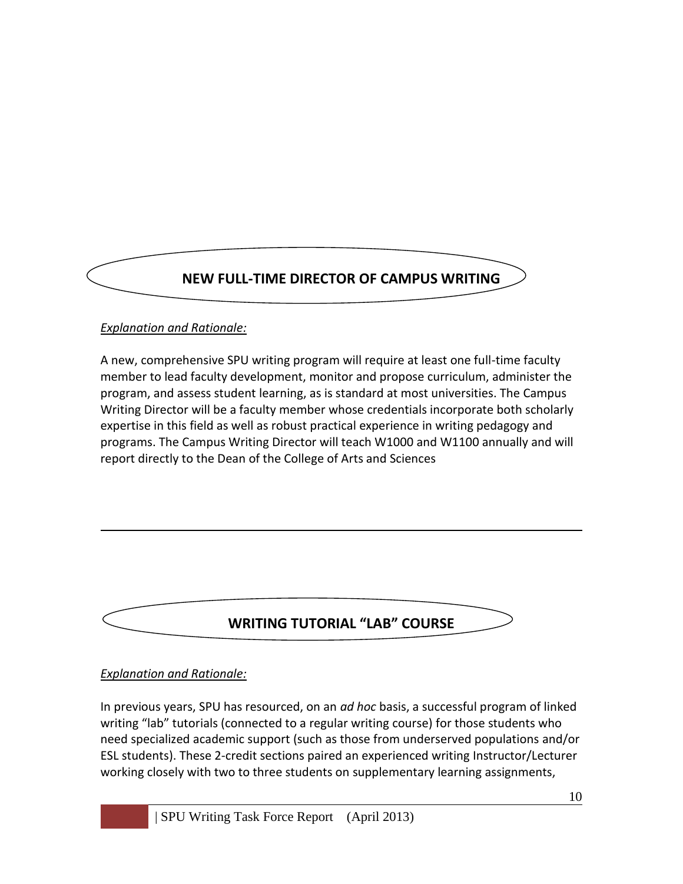# **NEW FULL-TIME DIRECTOR OF CAMPUS WRITING**

## *Explanation and Rationale:*

A new, comprehensive SPU writing program will require at least one full-time faculty member to lead faculty development, monitor and propose curriculum, administer the program, and assess student learning, as is standard at most universities. The Campus Writing Director will be a faculty member whose credentials incorporate both scholarly expertise in this field as well as robust practical experience in writing pedagogy and programs. The Campus Writing Director will teach W1000 and W1100 annually and will report directly to the Dean of the College of Arts and Sciences

## **WRITING TUTORIAL "LAB" COURSE**

#### *Explanation and Rationale:*

In previous years, SPU has resourced, on an *ad hoc* basis, a successful program of linked writing "lab" tutorials (connected to a regular writing course) for those students who need specialized academic support (such as those from underserved populations and/or ESL students). These 2-credit sections paired an experienced writing Instructor/Lecturer working closely with two to three students on supplementary learning assignments,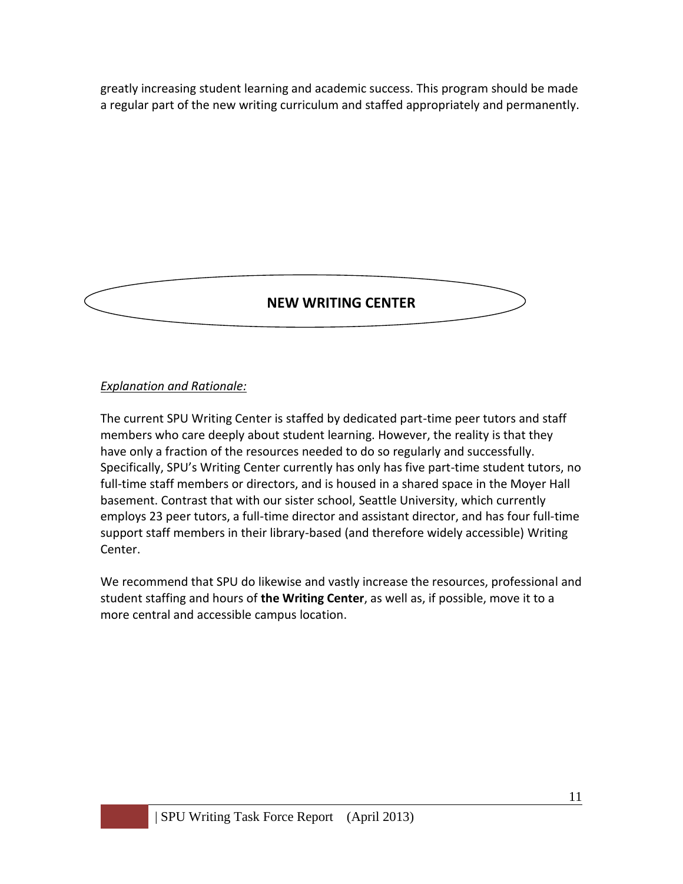greatly increasing student learning and academic success. This program should be made a regular part of the new writing curriculum and staffed appropriately and permanently.

## **NEW WRITING CENTER**

### *Explanation and Rationale:*

The current SPU Writing Center is staffed by dedicated part-time peer tutors and staff members who care deeply about student learning. However, the reality is that they have only a fraction of the resources needed to do so regularly and successfully. Specifically, SPU's Writing Center currently has only has five part-time student tutors, no full-time staff members or directors, and is housed in a shared space in the Moyer Hall basement. Contrast that with our sister school, Seattle University, which currently employs 23 peer tutors, a full-time director and assistant director, and has four full-time support staff members in their library-based (and therefore widely accessible) Writing Center.

We recommend that SPU do likewise and vastly increase the resources, professional and student staffing and hours of **the Writing Center**, as well as, if possible, move it to a more central and accessible campus location.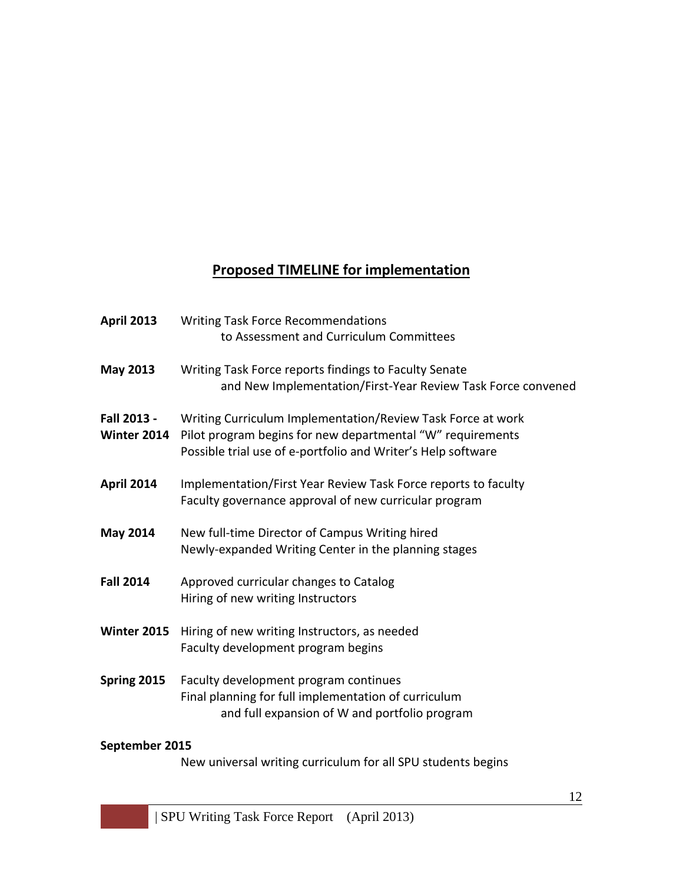## **Proposed TIMELINE for implementation**

| <b>April 2013</b>                 | <b>Writing Task Force Recommendations</b>                                                                                                                                                 |
|-----------------------------------|-------------------------------------------------------------------------------------------------------------------------------------------------------------------------------------------|
|                                   | to Assessment and Curriculum Committees                                                                                                                                                   |
| May 2013                          | Writing Task Force reports findings to Faculty Senate<br>and New Implementation/First-Year Review Task Force convened                                                                     |
| Fall 2013 -<br><b>Winter 2014</b> | Writing Curriculum Implementation/Review Task Force at work<br>Pilot program begins for new departmental "W" requirements<br>Possible trial use of e-portfolio and Writer's Help software |
| April 2014                        | Implementation/First Year Review Task Force reports to faculty<br>Faculty governance approval of new curricular program                                                                   |
| <b>May 2014</b>                   | New full-time Director of Campus Writing hired<br>Newly-expanded Writing Center in the planning stages                                                                                    |
| <b>Fall 2014</b>                  | Approved curricular changes to Catalog<br>Hiring of new writing Instructors                                                                                                               |
| <b>Winter 2015</b>                | Hiring of new writing Instructors, as needed<br>Faculty development program begins                                                                                                        |
| <b>Spring 2015</b>                | Faculty development program continues<br>Final planning for full implementation of curriculum<br>and full expansion of W and portfolio program                                            |
|                                   |                                                                                                                                                                                           |

## **September 2015**

New universal writing curriculum for all SPU students begins